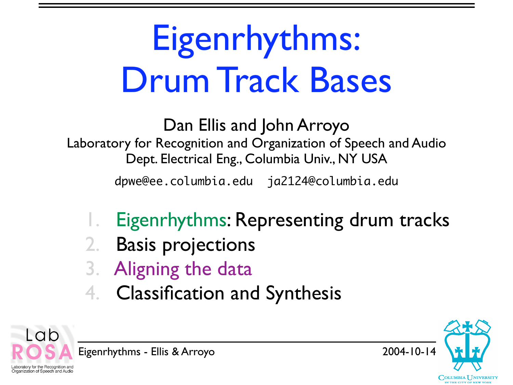# Eigenrhythms: Drum Track Bases

Dan Ellis and John Arroyo Laboratory for Recognition and Organization of Speech and Audio Dept. Electrical Eng., Columbia Univ., NY USA dpwe@ee.columbia.edu ja2124@columbia.edu

- Eigenrhythms: Representing drum tracks
- 2. Basis projections
- 3. Aligning the data
- 4. Classification and Synthesis



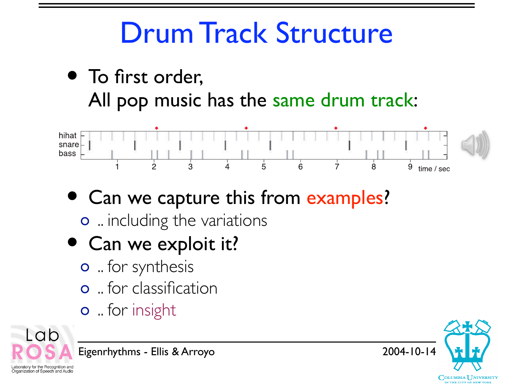### Drum Track Structure

• To first order, All pop music has the same drum track:



- Can we capture this from examples? o ... including the variations
- Can we exploit it?
	- o .. for synthesis
	- .. for classification
	- **o** for insight



Eigenrhythms - Ellis & Arroyo 2004-10-14

CH **COLUMBIA UNIVERSITY**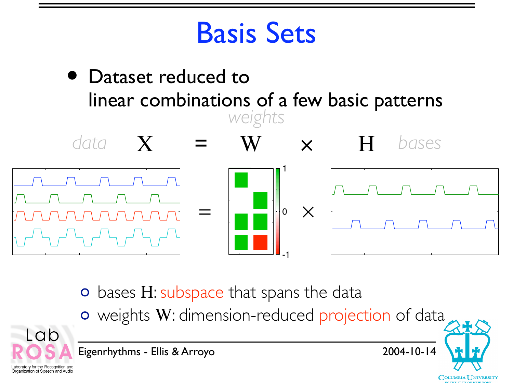#### Basis Sets



- o bases H: subspace that spans the data
- weights W: dimension-reduced projection of data



Eigenrhythms - Ellis & Arroyo 2004-10-14

**COLUMBIA UNIVERSITY**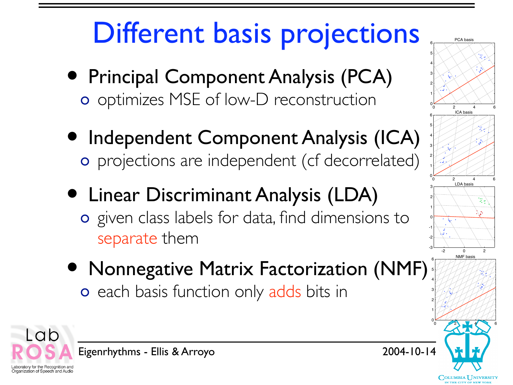### Different basis projections

- Principal Component Analysis (PCA) o optimizes MSE of low-D reconstruction
- Independent Component Analysis (ICA) projections are independent (cf decorrelated)
- Linear Discriminant Analysis (LDA) o given class labels for data, find dimensions to separate them
- Nonnegative Matrix Factorization (NMF) o each basis function only adds bits in



COLUMBIA UNIVERSITY

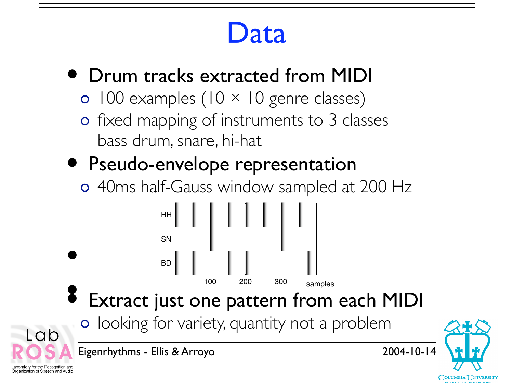#### Data

- Drum tracks extracted from MIDI
	- $0$  100 examples (10  $\times$  10 genre classes)
	- o fixed mapping of instruments to 3 classes bass drum, snare, hi-hat
- Pseudo-envelope representation

Organization of Speech and Audio

40ms half-Gauss window sampled at 200 Hz



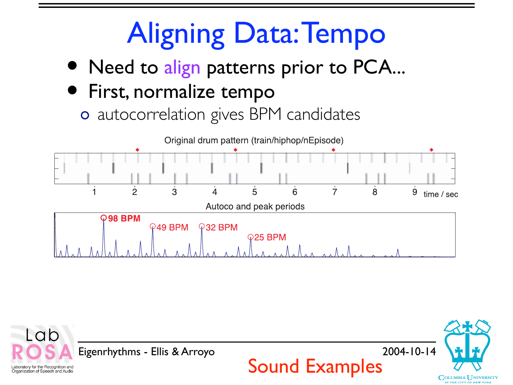### **Aligning Data: Tempo**

• Need to align patterns prior to PCA...

#### • First, normalize tempo

autocorrelation gives BPM candidates



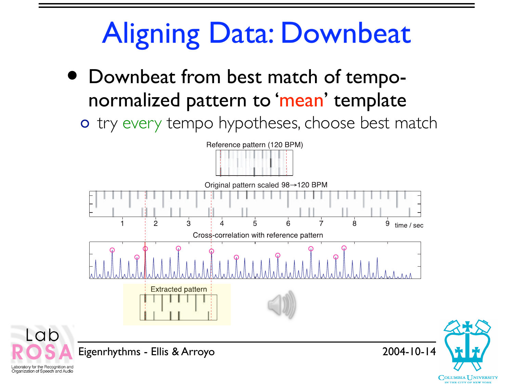### Aligning Data: Downbeat

- Downbeat from best match of temponormalized pattern to 'mean' template
	- o try every tempo hypotheses, choose best match



**COLUMBIA UNIVERSITY** 

Laboratory for the Recognition and Organization of Speech and Audio

-ab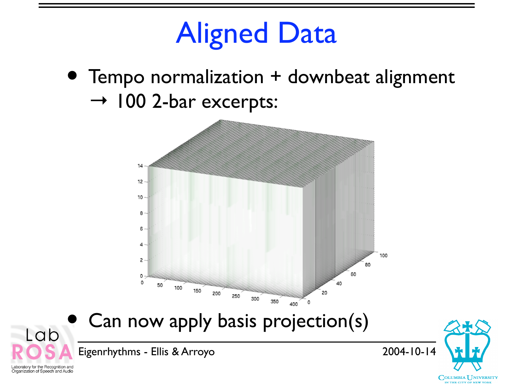#### Aligned Data

• Tempo normalization + downbeat alignment  $\rightarrow$  100 2-bar excerpts:



Can now apply basis projection(s)

Eigenrhythms - Ellis & Arroyo 2004-10-14



Laboratory for the Recognition and Organization of Speech and Audio

Lab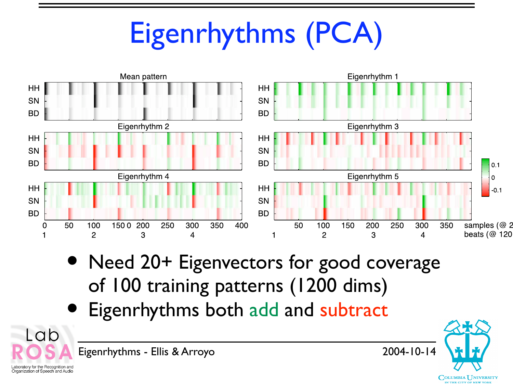## Eigenrhythms (PCA)



- Need 20+ Eigenvectors for good coverage of 100 training patterns (1200 dims)
- Eigenrhythms both add and subtract



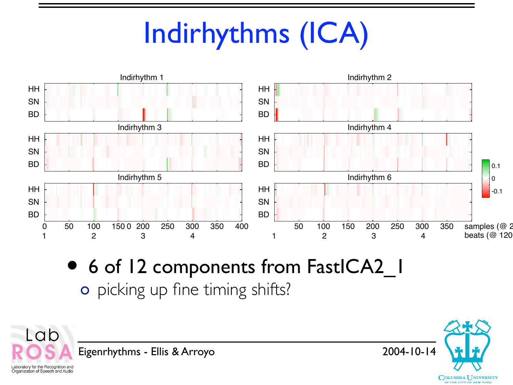### Indirhythms (ICA)



• 6 of 12 components from FastICA2\_1 o picking up fine timing shifts?



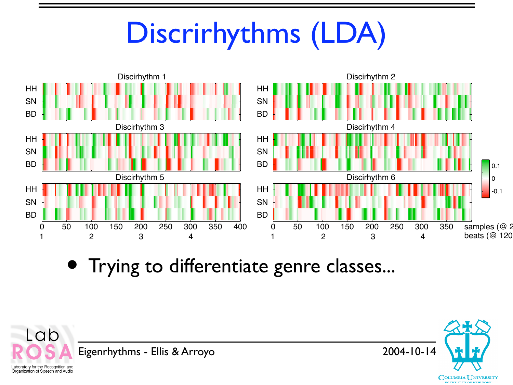### Discrirhythms (LDA)



• Trying to differentiate genre classes...



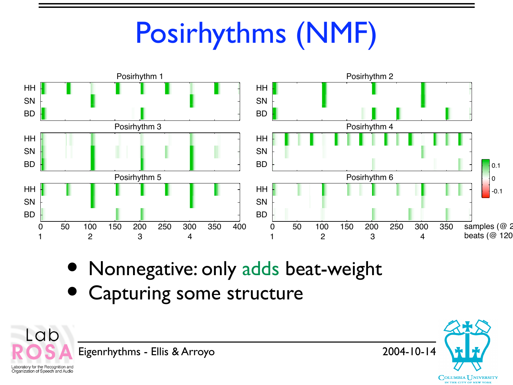### Posirhythms (NMF)



• Nonnegative: only adds beat-weight

Capturing some structure



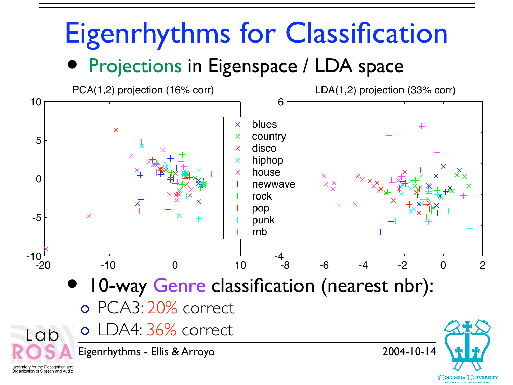# Eigenrhythms for Classification

Projections in Eigenspace / LDA space

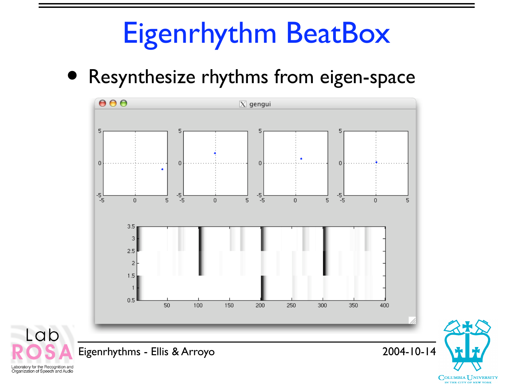### Eigenrhythm BeatBox

• Resynthesize rhythms from eigen-space



 $\mathbf{A}$ 

**COLUMBIA UNIVERSITY** IN THE CITY OF NEW YORK



Lab